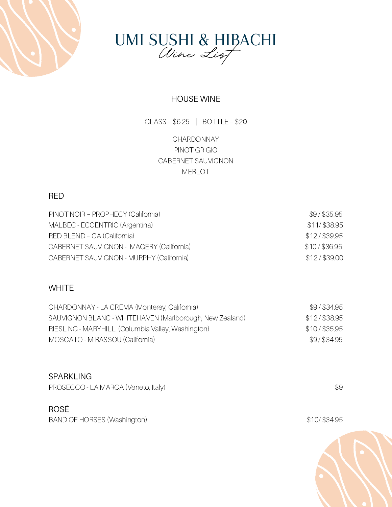



# HOUSE WINE

GLASS – \$6.25 | BOTTLE – \$20

CHARDONNAY PINOT GRIGIO CABERNET SAUVIGNON **MERLOT** 

## RED

| PINOT NOIR - PROPHECY (California)        | $$9/$ \$35.95  |
|-------------------------------------------|----------------|
| MALBEC - ECCENTRIC (Argentina)            | \$11/\$38.95   |
| RED BLEND - CA (California)               | \$12/\$39.95   |
| CABERNET SAUVIGNON - IMAGERY (California) | $$10/$ \$36.95 |
| CABERNET SAUVIGNON - MURPHY (California)  | \$12/\$39.00   |

## **WHITE**

| CHARDONNAY - LA CREMA (Monterey, California)            | \$9/\$34.95    |
|---------------------------------------------------------|----------------|
| SAUVIGNON BLANC - WHITEHAVEN (Marlborough, New Zealand) | \$12/\$38.95   |
| RIESLING - MARYHILL (Columbia Valley, Washington)       | $$10/$ \$35.95 |
| MOSCATO - MIRASSOU (California)                         | \$9/\$34.95    |

#### **SPARKLING**

PROSECCO - LA MARCA (Veneto, Italy)  $$9$ 

## ROSÉ

BAND OF HORSES (Washington) \$10/ \$34.95

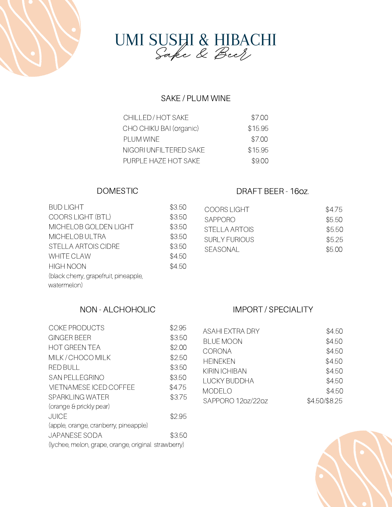



# SAKE / PLUM WINE

| \$7.00  |
|---------|
| \$15.95 |
| \$7.00  |
| \$15.95 |
| \$9.00  |
|         |

### DOMESTIC

| <b>BUD LIGHT</b>                      | \$3.50 |
|---------------------------------------|--------|
| <b>COORS LIGHT (BTL)</b>              | \$3.50 |
| MICHELOB GOLDEN LIGHT                 | \$3.50 |
| MICHELOB ULTRA                        | \$3.50 |
| STELLA ARTOIS CIDRE                   | \$3.50 |
| <b>WHITE CLAW</b>                     | \$4.50 |
| <b>HIGH NOON</b>                      | \$4.50 |
| (black cherry, grapefruit, pineapple, |        |
| watermelon)                           |        |

# DRAFT BEER - 16oz.

| \$4.75 |
|--------|
| \$5.50 |
| \$5.50 |
| \$5.25 |
| \$5.00 |
|        |

# NON - ALCHOHOLIC

| <b>COKE PRODUCTS</b>                                | \$2.95 |  |
|-----------------------------------------------------|--------|--|
| GINGER BEER                                         | \$3.50 |  |
| <b>HOT GREEN TEA</b>                                | \$2.00 |  |
| MILK / CHOCO MILK                                   | \$2.50 |  |
| <b>RED BULL</b>                                     | \$3.50 |  |
| <b>SAN PELLEGRINO</b>                               | \$3.50 |  |
| VIETNAMESE ICED COFFEE                              | \$4.75 |  |
| SPARKLING WATER                                     | \$3.75 |  |
| (orange & prickly pear)                             |        |  |
| <b>JUICE</b>                                        | \$2.95 |  |
| (apple, orange, cranberry, pineapple)               |        |  |
| <b>JAPANESE SODA</b>                                | \$3.50 |  |
| (lychee, melon, grape, orange, original strawberry) |        |  |

# IMPORT / SPECIALITY

| <b>ASAHI EXTRA DRY</b> | \$4.50        |
|------------------------|---------------|
| <b>BLUE MOON</b>       | \$4.50        |
| <b>CORONA</b>          | \$4.50        |
| <b>HEINEKEN</b>        | \$4.50        |
| KIRIN ICHIBAN          | \$4.50        |
| I UCKY BUDDHA          | \$4.50        |
| <b>MODELO</b>          | \$4.50        |
| SAPPORO 120z/220z      | \$4.50/\$8.25 |